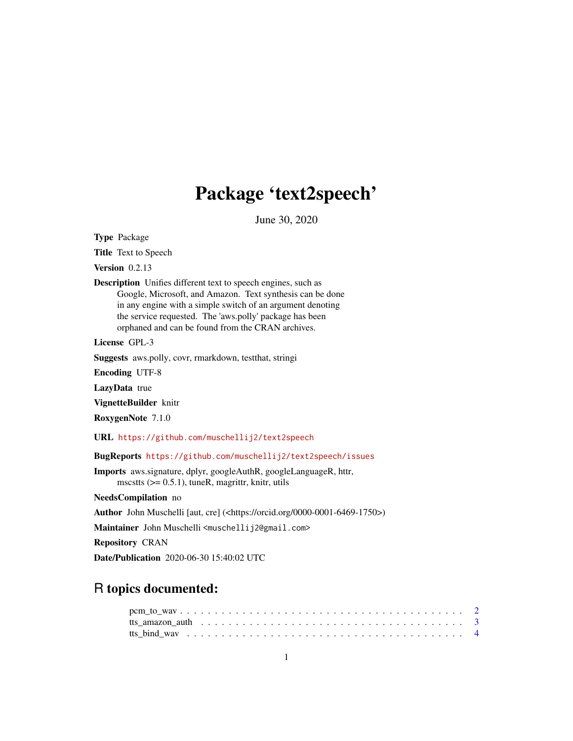# Package 'text2speech'

June 30, 2020

<span id="page-0-0"></span>Type Package

Title Text to Speech

Version 0.2.13

Description Unifies different text to speech engines, such as Google, Microsoft, and Amazon. Text synthesis can be done in any engine with a simple switch of an argument denoting the service requested. The 'aws.polly' package has been orphaned and can be found from the CRAN archives.

License GPL-3

Suggests aws.polly, covr, rmarkdown, testthat, stringi

Encoding UTF-8

LazyData true

VignetteBuilder knitr

RoxygenNote 7.1.0

URL <https://github.com/muschellij2/text2speech>

BugReports <https://github.com/muschellij2/text2speech/issues>

Imports aws.signature, dplyr, googleAuthR, googleLanguageR, httr, mscstts  $(>= 0.5.1)$ , tuneR, magrittr, knitr, utils

NeedsCompilation no

Author John Muschelli [aut, cre] (<https://orcid.org/0000-0001-6469-1750>)

Maintainer John Muschelli <muschellij2@gmail.com>

Repository CRAN

Date/Publication 2020-06-30 15:40:02 UTC

## R topics documented: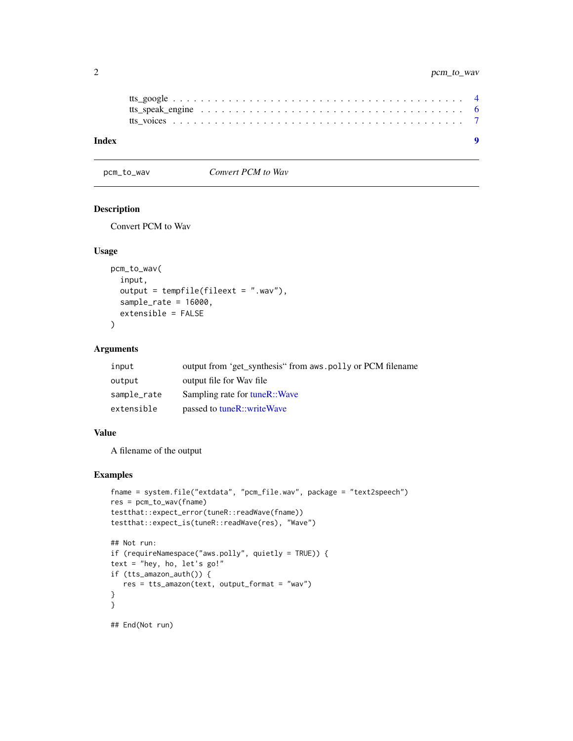<span id="page-1-0"></span>

| Index |  |
|-------|--|
|       |  |
|       |  |
|       |  |

pcm\_to\_wav *Convert PCM to Wav*

#### Description

Convert PCM to Wav

#### Usage

```
pcm_to_wav(
  input,
  output = tempfile(fileext = ".wav"),
  sample_rate = 16000,
  extensible = FALSE
)
```
#### Arguments

| input       | output from 'get_synthesis" from aws.polly or PCM filename |
|-------------|------------------------------------------------------------|
| output      | output file for Way file                                   |
| sample_rate | Sampling rate for tuneR::Wave                              |
| extensible  | passed to tuneR::writeWave                                 |

#### Value

A filename of the output

#### Examples

```
fname = system.file("extdata", "pcm_file.wav", package = "text2speech")
res = pcm_to_wav(fname)
testthat::expect_error(tuneR::readWave(fname))
testthat::expect_is(tuneR::readWave(res), "Wave")
## Not run:
if (requireNamespace("aws.polly", quietly = TRUE)) {
text = "hey, ho, let's go!"
if (tts_amazon_auth()) {
  res = tts_amazon(text, output_format = "wav")
}
}
```
## End(Not run)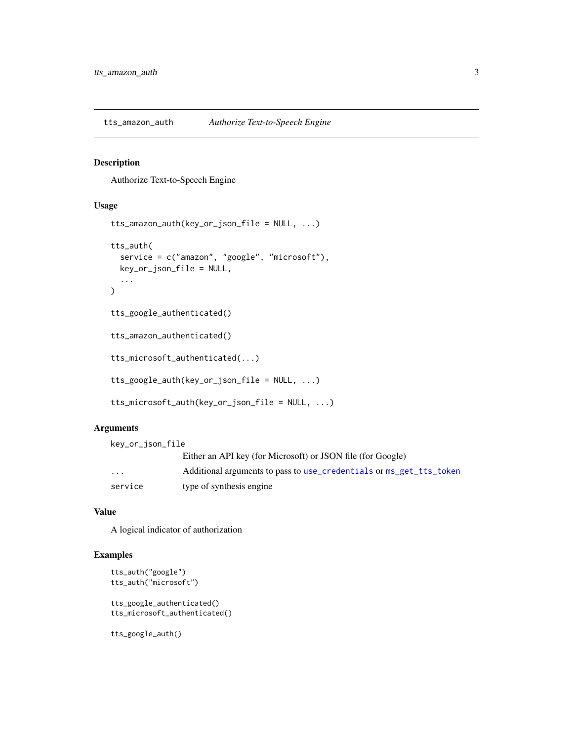<span id="page-2-0"></span>tts\_amazon\_auth *Authorize Text-to-Speech Engine*

#### Description

Authorize Text-to-Speech Engine

#### Usage

```
tts_amazon_auth(key_or_json_file = NULL, ...)
tts_auth(
  service = c("amazon", "google", "microsoft"),
 key_or_json_file = NULL,
  ...
\mathcal{L}tts_google_authenticated()
tts_amazon_authenticated()
tts_microsoft_authenticated(...)
tts_google_auth(key_or_json_file = NULL, ...)
tts_microsoft_auth(key_or_json_file = NULL, ...)
```
#### Arguments

key\_or\_json\_file Either an API key (for Microsoft) or JSON file (for Google) ... Additional arguments to pass to [use\\_credentials](#page-0-0) or [ms\\_get\\_tts\\_token](#page-0-0) service type of synthesis engine

#### Value

A logical indicator of authorization

#### Examples

```
tts_auth("google")
tts_auth("microsoft")
```
tts\_google\_authenticated() tts\_microsoft\_authenticated()

tts\_google\_auth()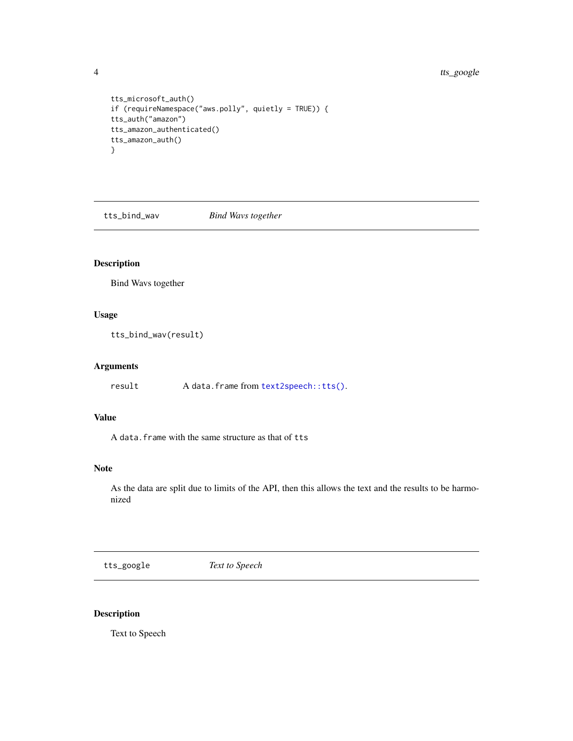<span id="page-3-0"></span>4 tts\_google

```
tts_microsoft_auth()
if (requireNamespace("aws.polly", quietly = TRUE)) {
tts_auth("amazon")
tts_amazon_authenticated()
tts_amazon_auth()
}
```
tts\_bind\_wav *Bind Wavs together*

#### Description

Bind Wavs together

#### Usage

tts\_bind\_wav(result)

#### Arguments

result A data.frame from [text2speech::tts\(\)](#page-0-0).

#### Value

A data.frame with the same structure as that of tts

#### Note

As the data are split due to limits of the API, then this allows the text and the results to be harmonized

tts\_google *Text to Speech*

#### Description

Text to Speech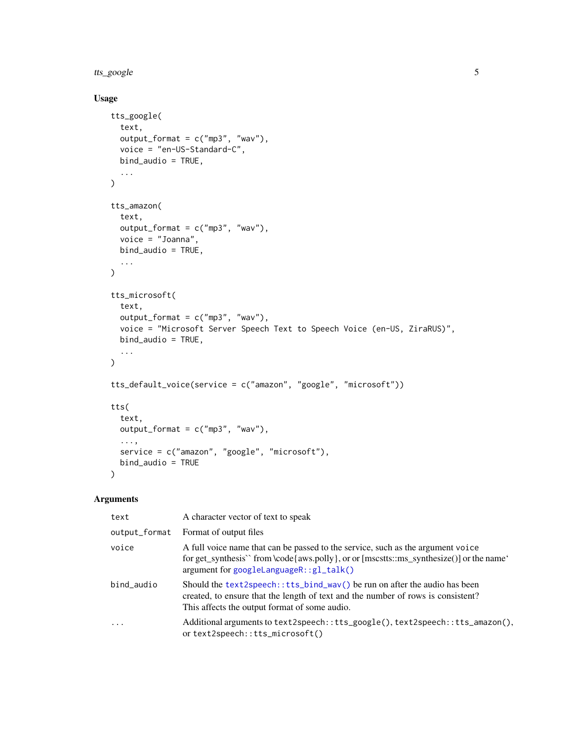<span id="page-4-0"></span>tts\_google 5

#### Usage

```
tts_google(
  text,
  output_format = c("mp3", "wav"),
  voice = "en-US-Standard-C",
  bind_audio = TRUE,
  ...
\mathcal{L}tts_amazon(
  text,
  output_format = c("mp3", "wav"),voice = "Joanna",
  bind_audio = TRUE,
  ...
\mathcal{L}tts_microsoft(
  text,
  output_format = c("mp3", "wav"),voice = "Microsoft Server Speech Text to Speech Voice (en-US, ZiraRUS)",
  bind_audio = TRUE,
  ...
\mathcal{L}tts_default_voice(service = c("amazon", "google", "microsoft"))
tts(
  text,
  output_format = c("mp3", "wav"),...,
 service = c("amazon", "google", "microsoft"),
  bind_audio = TRUE
)
```
#### Arguments

| text                    | A character vector of text to speak                                                                                                                                                                                       |
|-------------------------|---------------------------------------------------------------------------------------------------------------------------------------------------------------------------------------------------------------------------|
| output_format           | Format of output files                                                                                                                                                                                                    |
| voice                   | A full voice name that can be passed to the service, such as the argument voice<br>for get_synthesis'` from \code{aws.polly}, or or [mscstts::ms_synthesize()] or the name'<br>$argument for goodleLanguageR::gl\_talk()$ |
| bind_audio              | Should the text2speech::tts_bind_wav() be run on after the audio has been<br>created, to ensure that the length of text and the number of rows is consistent?<br>This affects the output format of some audio.            |
| $\cdot$ $\cdot$ $\cdot$ | Additional arguments to text2speech::tts_google(), text2speech::tts_amazon(),<br>ortext2speech::tts_microsoft()                                                                                                           |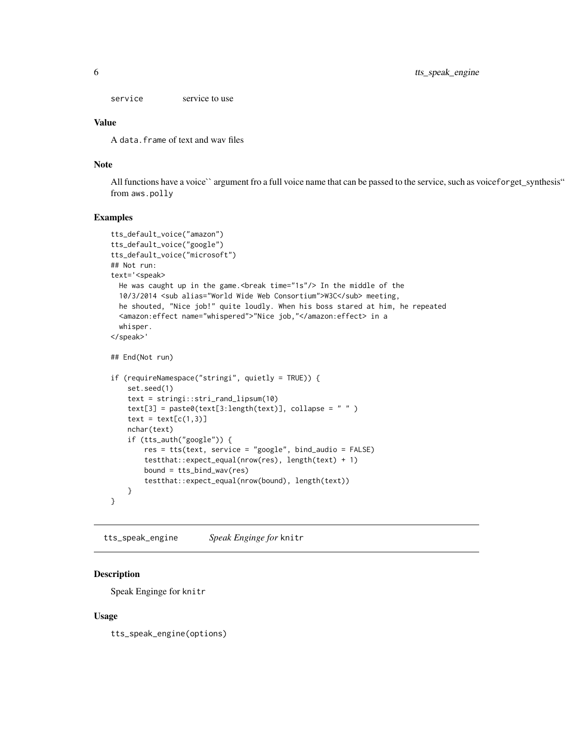<span id="page-5-0"></span>service service to use

#### Value

A data.frame of text and wav files

#### Note

All functions have a voice`` argument fro a full voice name that can be passed to the service, such as voiceforget\_synthesis" from aws.polly

#### Examples

```
tts_default_voice("amazon")
tts_default_voice("google")
tts_default_voice("microsoft")
## Not run:
text='<speak>
  He was caught up in the game.<break time="1s"/> In the middle of the
  10/3/2014 <sub alias="World Wide Web Consortium">W3C</sub> meeting,
  he shouted, "Nice job!" quite loudly. When his boss stared at him, he repeated
  <amazon:effect name="whispered">"Nice job,"</amazon:effect> in a
  whisper.
</speak>'
## End(Not run)
if (requireNamespace("stringi", quietly = TRUE)) {
    set.seed(1)
    text = stringi::stri_rand_lipsum(10)
    text[3] = paste0(text[3:length(text)], collapse = " " )text = text[c(1,3)]nchar(text)
    if (tts_auth("google")) {
        res = tts(text, service = "google", bind_audio = FALSE)
        testthat::expect_equal(nrow(res), length(text) + 1)
        bound = tts_bind_wav(res)
        testthat::expect_equal(nrow(bound), length(text))
    }
}
```
tts\_speak\_engine *Speak Enginge for* knitr

#### Description

Speak Enginge for knitr

#### Usage

tts\_speak\_engine(options)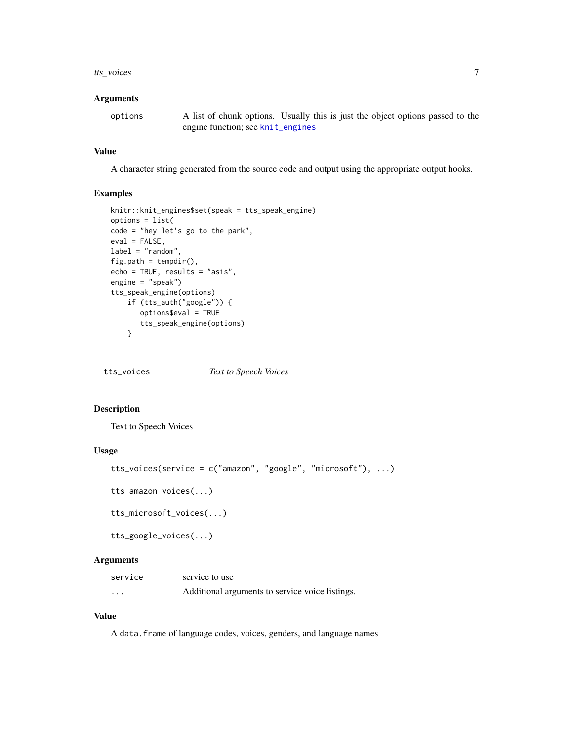#### <span id="page-6-0"></span>tts\_voices 7

#### **Arguments**

options A list of chunk options. Usually this is just the object options passed to the engine function; see [knit\\_engines](#page-0-0)

#### Value

A character string generated from the source code and output using the appropriate output hooks.

#### Examples

```
knitr::knit_engines$set(speak = tts_speak_engine)
options = list(
code = "hey let's go to the park",
eval = FALSE,
label = "random",fig.path = tempdir(),
echo = TRUE, results = "asis",
engine = "speak")
tts_speak_engine(options)
   if (tts_auth("google")) {
      options$eval = TRUE
       tts_speak_engine(options)
    }
```
tts\_voices *Text to Speech Voices*

#### Description

Text to Speech Voices

#### Usage

```
tts_voices(service = c("amazon", "google", "microsoft"), ...)
tts_amazon_voices(...)
tts_microsoft_voices(...)
tts_google_voices(...)
```
#### **Arguments**

| service | service to use                                  |
|---------|-------------------------------------------------|
| .       | Additional arguments to service voice listings. |

#### Value

A data.frame of language codes, voices, genders, and language names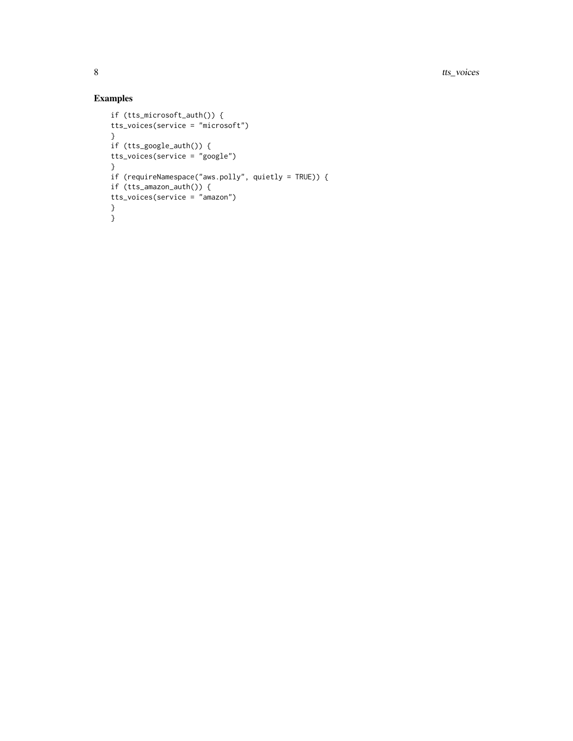### Examples

```
if (tts_microsoft_auth()) {
tts_voices(service = "microsoft")
}
if (tts_google_auth()) {
tts_voices(service = "google")
}
if (requireNamespace("aws.polly", quietly = TRUE)) {
if (tts_amazon_auth()) {
tts_voices(service = "amazon")
}
}
```